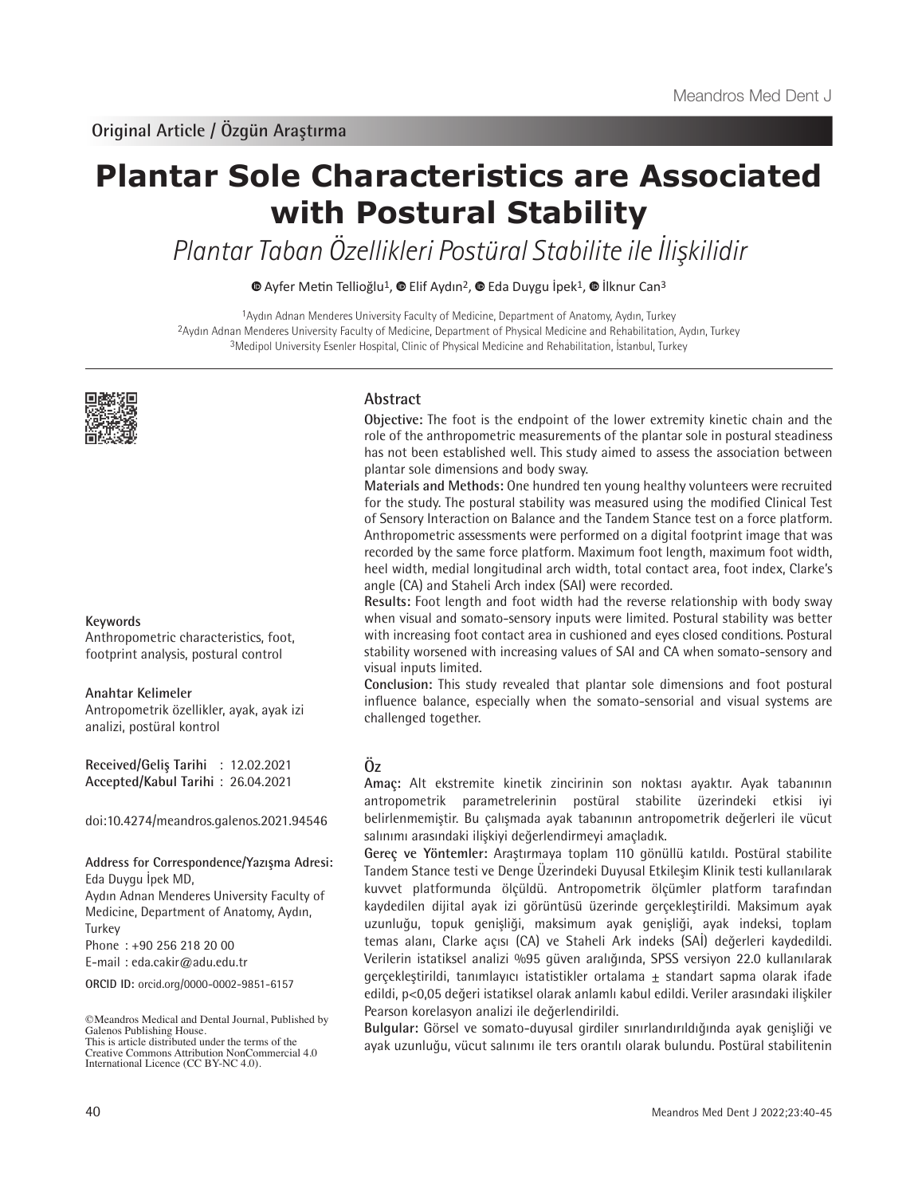# **Plantar Sole Characteristics are Associated with Postural Stability**

Plantar Taban Özellikleri Postüral Stabilite ile İlişkilidir

 $\bullet$ Ayfer Metin Tellioğlu<sup>1</sup>,  $\bullet$  Elif Aydın<sup>2</sup>,  $\bullet$  Eda Duygu İpek<sup>1</sup>,  $\bullet$  İlknur Can<sup>3</sup>

1Aydın Adnan Menderes University Faculty of Medicine, Department of Anatomy, Aydın, Turkey 2Aydın Adnan Menderes University Faculty of Medicine, Department of Physical Medicine and Rehabilitation, Aydın, Turkey 3Medipol University Esenler Hospital, Clinic of Physical Medicine and Rehabilitation, İstanbul, Turkey



#### **Keywords**

Anthropometric characteristics, foot, footprint analysis, postural control

#### **Anahtar Kelimeler**

Antropometrik özellikler, ayak, ayak izi analizi, postüral kontrol

**Received/Geliş Tarihi** : 12.02.2021 **Accepted/Kabul Tarihi** : 26.04.2021

doi:10.4274/meandros.galenos.2021.94546

# **Address for Correspondence/Yazışma Adresi:**

Eda Duygu İpek MD, Aydın Adnan Menderes University Faculty of Medicine, Department of Anatomy, Aydın, Turkey

Phone : +90 256 218 20 00

E-mail : eda.cakir@adu.edu.tr

**ORCID ID:** orcid.org/0000-0002-9851-6157

©Meandros Medical and Dental Journal, Published by Galenos Publishing House. This is article distributed under the terms of the

Creative Commons Attribution NonCommercial 4.0 International Licence (CC BY-NC 4.0).

# **Abstract**

**Objective:** The foot is the endpoint of the lower extremity kinetic chain and the role of the anthropometric measurements of the plantar sole in postural steadiness has not been established well. This study aimed to assess the association between plantar sole dimensions and body sway.

**Materials and Methods:** One hundred ten young healthy volunteers were recruited for the study. The postural stability was measured using the modified Clinical Test of Sensory Interaction on Balance and the Tandem Stance test on a force platform. Anthropometric assessments were performed on a digital footprint image that was recorded by the same force platform. Maximum foot length, maximum foot width, heel width, medial longitudinal arch width, total contact area, foot index, Clarke's angle (CA) and Staheli Arch index (SAI) were recorded.

**Results:** Foot length and foot width had the reverse relationship with body sway when visual and somato-sensory inputs were limited. Postural stability was better with increasing foot contact area in cushioned and eyes closed conditions. Postural stability worsened with increasing values of SAI and CA when somato-sensory and visual inputs limited.

**Conclusion:** This study revealed that plantar sole dimensions and foot postural influence balance, especially when the somato-sensorial and visual systems are challenged together.

# **Öz**

**Amaç:** Alt ekstremite kinetik zincirinin son noktası ayaktır. Ayak tabanının antropometrik parametrelerinin postüral stabilite üzerindeki etkisi iyi belirlenmemiştir. Bu çalışmada ayak tabanının antropometrik değerleri ile vücut salınımı arasındaki ilişkiyi değerlendirmeyi amaçladık.

**Gereç ve Yöntemler:** Araştırmaya toplam 110 gönüllü katıldı. Postüral stabilite Tandem Stance testi ve Denge Üzerindeki Duyusal Etkileşim Klinik testi kullanılarak kuvvet platformunda ölçüldü. Antropometrik ölçümler platform tarafından kaydedilen dijital ayak izi görüntüsü üzerinde gerçekleştirildi. Maksimum ayak uzunluğu, topuk genişliği, maksimum ayak genişliği, ayak indeksi, toplam temas alanı, Clarke açısı (CA) ve Staheli Ark indeks (SAİ) değerleri kaydedildi. Verilerin istatiksel analizi %95 güven aralığında, SPSS versiyon 22.0 kullanılarak gerçekleştirildi, tanımlayıcı istatistikler ortalama  $\pm$  standart sapma olarak ifade edildi, p<0,05 değeri istatiksel olarak anlamlı kabul edildi. Veriler arasındaki ilişkiler Pearson korelasyon analizi ile değerlendirildi.

**Bulgular:** Görsel ve somato-duyusal girdiler sınırlandırıldığında ayak genişliği ve ayak uzunluğu, vücut salınımı ile ters orantılı olarak bulundu. Postüral stabilitenin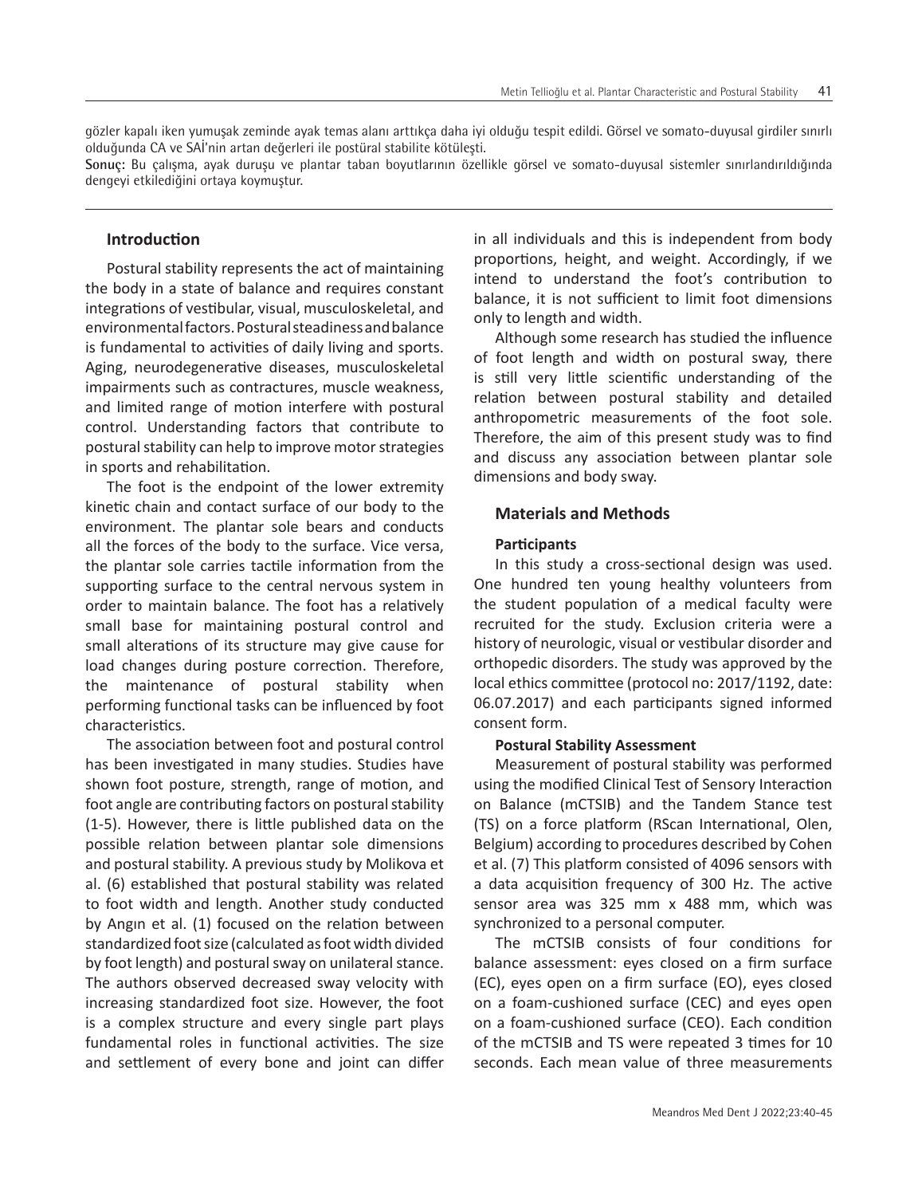gözler kapalı iken yumuşak zeminde ayak temas alanı arttıkça daha iyi olduğu tespit edildi. Görsel ve somato-duyusal girdiler sınırlı olduğunda CA ve SAİ'nin artan değerleri ile postüral stabilite kötüleşti.

**Sonuç:** Bu çalışma, ayak duruşu ve plantar taban boyutlarının özellikle görsel ve somato-duyusal sistemler sınırlandırıldığında dengeyi etkilediğini ortaya koymuştur.

# **Introduction**

Postural stability represents the act of maintaining the body in a state of balance and requires constant integrations of vestibular, visual, musculoskeletal, and environmental factors. Postural steadiness and balance is fundamental to activities of daily living and sports. Aging, neurodegenerative diseases, musculoskeletal impairments such as contractures, muscle weakness, and limited range of motion interfere with postural control. Understanding factors that contribute to postural stability can help to improve motor strategies in sports and rehabilitation.

The foot is the endpoint of the lower extremity kinetic chain and contact surface of our body to the environment. The plantar sole bears and conducts all the forces of the body to the surface. Vice versa, the plantar sole carries tactile information from the supporting surface to the central nervous system in order to maintain balance. The foot has a relatively small base for maintaining postural control and small alterations of its structure may give cause for load changes during posture correction. Therefore, the maintenance of postural stability when performing functional tasks can be influenced by foot characteristics.

The association between foot and postural control has been investigated in many studies. Studies have shown foot posture, strength, range of motion, and foot angle are contributing factors on postural stability (1-5). However, there is little published data on the possible relation between plantar sole dimensions and postural stability. A previous study by Molikova et al. (6) established that postural stability was related to foot width and length. Another study conducted by Angın et al. (1) focused on the relation between standardized foot size (calculated as foot width divided by foot length) and postural sway on unilateral stance. The authors observed decreased sway velocity with increasing standardized foot size. However, the foot is a complex structure and every single part plays fundamental roles in functional activities. The size and settlement of every bone and joint can differ

in all individuals and this is independent from body proportions, height, and weight. Accordingly, if we intend to understand the foot's contribution to balance, it is not sufficient to limit foot dimensions only to length and width.

Although some research has studied the influence of foot length and width on postural sway, there is still very little scientific understanding of the relation between postural stability and detailed anthropometric measurements of the foot sole. Therefore, the aim of this present study was to find and discuss any association between plantar sole dimensions and body sway.

## **Materials and Methods**

#### **Participants**

In this study a cross-sectional design was used. One hundred ten young healthy volunteers from the student population of a medical faculty were recruited for the study. Exclusion criteria were a history of neurologic, visual or vestibular disorder and orthopedic disorders. The study was approved by the local ethics committee (protocol no: 2017/1192, date: 06.07.2017) and each participants signed informed consent form.

#### **Postural Stability Assessment**

Measurement of postural stability was performed using the modified Clinical Test of Sensory Interaction on Balance (mCTSIB) and the Tandem Stance test (TS) on a force platform (RScan International, Olen, Belgium) according to procedures described by Cohen et al. (7) This platform consisted of 4096 sensors with a data acquisition frequency of 300 Hz. The active sensor area was 325 mm x 488 mm, which was synchronized to a personal computer.

The mCTSIB consists of four conditions for balance assessment: eyes closed on a firm surface (EC), eyes open on a firm surface (EO), eyes closed on a foam-cushioned surface (CEC) and eyes open on a foam-cushioned surface (CEO). Each condition of the mCTSIB and TS were repeated 3 times for 10 seconds. Each mean value of three measurements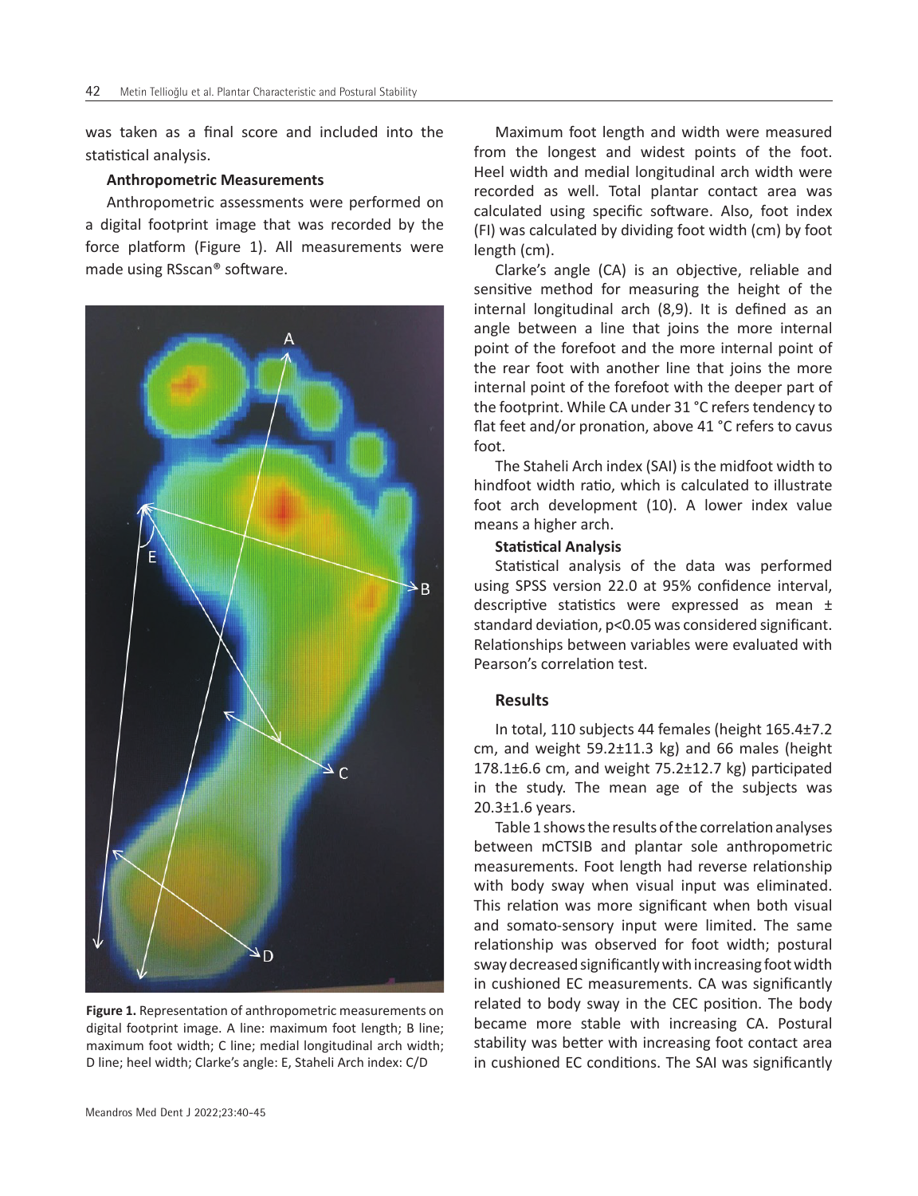was taken as a final score and included into the statistical analysis.

#### **Anthropometric Measurements**

Anthropometric assessments were performed on a digital footprint image that was recorded by the force platform (Figure 1). All measurements were made using RSscan® software.



**Figure 1.** Representation of anthropometric measurements on digital footprint image. A line: maximum foot length; B line; maximum foot width; C line; medial longitudinal arch width; D line; heel width; Clarke's angle: E, Staheli Arch index: C/D

Maximum foot length and width were measured from the longest and widest points of the foot. Heel width and medial longitudinal arch width were recorded as well. Total plantar contact area was calculated using specific software. Also, foot index (FI) was calculated by dividing foot width (cm) by foot length (cm).

Clarke's angle (CA) is an objective, reliable and sensitive method for measuring the height of the internal longitudinal arch (8,9). It is defined as an angle between a line that joins the more internal point of the forefoot and the more internal point of the rear foot with another line that joins the more internal point of the forefoot with the deeper part of the footprint. While CA under 31 °C refers tendency to flat feet and/or pronation, above 41 °C refers to cavus foot.

The Staheli Arch index (SAI) is the midfoot width to hindfoot width ratio, which is calculated to illustrate foot arch development (10). A lower index value means a higher arch.

#### **Statistical Analysis**

Statistical analysis of the data was performed using SPSS version 22.0 at 95% confidence interval, descriptive statistics were expressed as mean ± standard deviation, p<0.05 was considered significant. Relationships between variables were evaluated with Pearson's correlation test.

#### **Results**

In total, 110 subjects 44 females (height 165.4±7.2 cm, and weight 59.2±11.3 kg) and 66 males (height 178.1 $\pm$ 6.6 cm, and weight 75.2 $\pm$ 12.7 kg) participated in the study. The mean age of the subjects was  $20.3 \pm 1.6$  years.

Table 1 shows the results of the correlation analyses between mCTSIB and plantar sole anthropometric measurements. Foot length had reverse relationship with body sway when visual input was eliminated. This relation was more significant when both visual and somato-sensory input were limited. The same relationship was observed for foot width; postural sway decreased significantly with increasing foot width in cushioned EC measurements. CA was significantly related to body sway in the CEC position. The body became more stable with increasing CA. Postural stability was better with increasing foot contact area in cushioned EC conditions. The SAI was significantly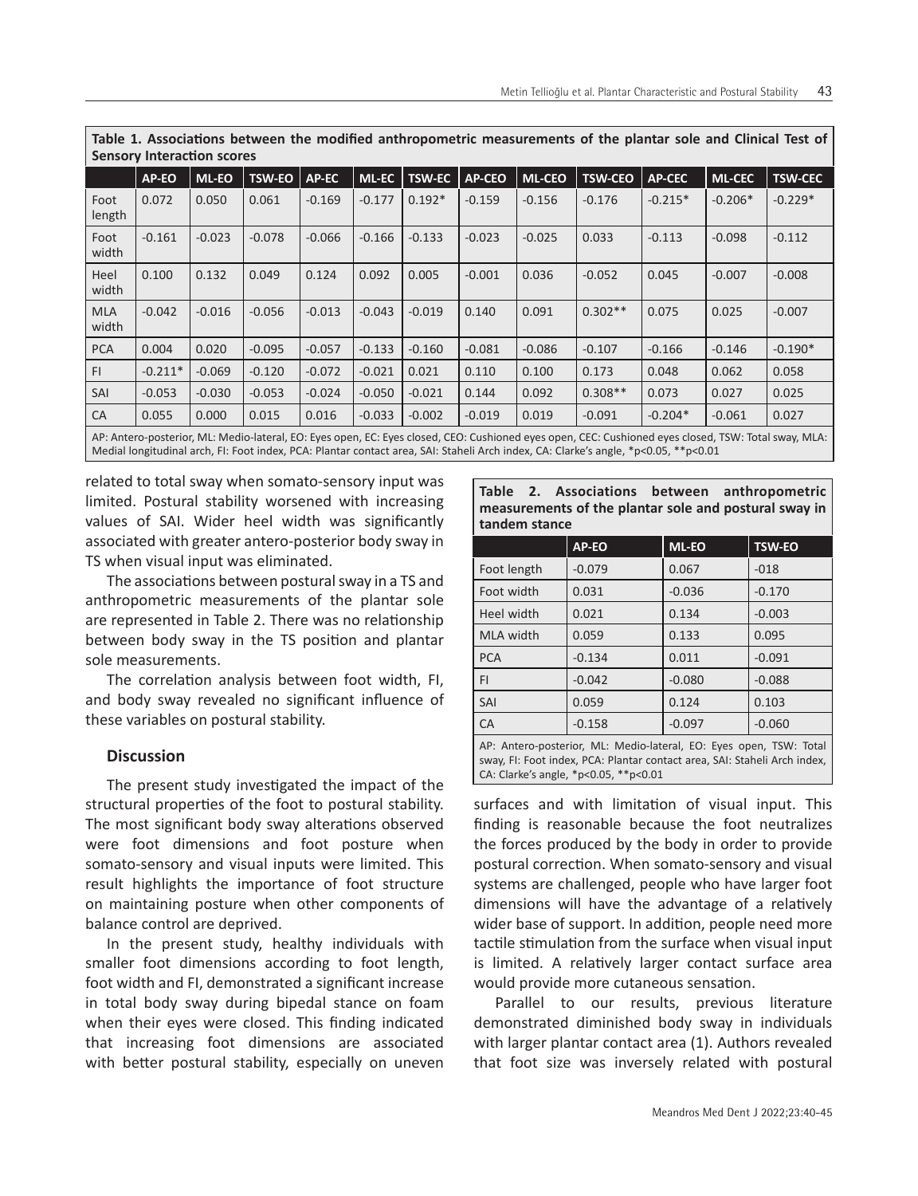| <b>Sensory Interaction scores</b>                                          |           |          |               |          |          |               |          |               |                |           |               |                |
|----------------------------------------------------------------------------|-----------|----------|---------------|----------|----------|---------------|----------|---------------|----------------|-----------|---------------|----------------|
|                                                                            | AP-EO     | ML-EO    | <b>TSW-EO</b> | AP-EC    | ML-EC    | <b>TSW-EC</b> | AP-CEO   | <b>ML-CEO</b> | <b>TSW-CEO</b> | AP-CEC    | <b>ML-CEC</b> | <b>TSW-CEC</b> |
| Foot<br>length                                                             | 0.072     | 0.050    | 0.061         | $-0.169$ | $-0.177$ | $0.192*$      | $-0.159$ | $-0.156$      | $-0.176$       | $-0.215*$ | $-0.206*$     | $-0.229*$      |
| Foot<br>width                                                              | $-0.161$  | $-0.023$ | $-0.078$      | $-0.066$ | $-0.166$ | $-0.133$      | $-0.023$ | $-0.025$      | 0.033          | $-0.113$  | $-0.098$      | $-0.112$       |
| Heel<br>width                                                              | 0.100     | 0.132    | 0.049         | 0.124    | 0.092    | 0.005         | $-0.001$ | 0.036         | $-0.052$       | 0.045     | $-0.007$      | $-0.008$       |
| <b>MLA</b><br>width                                                        | $-0.042$  | $-0.016$ | $-0.056$      | $-0.013$ | $-0.043$ | $-0.019$      | 0.140    | 0.091         | $0.302**$      | 0.075     | 0.025         | $-0.007$       |
| PCA                                                                        | 0.004     | 0.020    | $-0.095$      | $-0.057$ | $-0.133$ | $-0.160$      | $-0.081$ | $-0.086$      | $-0.107$       | $-0.166$  | $-0.146$      | $-0.190*$      |
| l Fl                                                                       | $-0.211*$ | $-0.069$ | $-0.120$      | $-0.072$ | $-0.021$ | 0.021         | 0.110    | 0.100         | 0.173          | 0.048     | 0.062         | 0.058          |
| <b>SAI</b>                                                                 | $-0.053$  | $-0.030$ | $-0.053$      | $-0.024$ | $-0.050$ | $-0.021$      | 0.144    | 0.092         | $0.308**$      | 0.073     | 0.027         | 0.025          |
| CA                                                                         | 0.055     | 0.000    | 0.015         | 0.016    | $-0.033$ | $-0.002$      | $-0.019$ | 0.019         | $-0.091$       | $-0.204*$ | $-0.061$      | 0.027          |
| $   -$<br>$- - -$<br>$\cdots$<br>.<br>$\overline{\phantom{a}}$<br>$\cdots$ |           |          |               |          |          |               |          |               |                |           |               |                |

**Table 1. Associations between the modified anthropometric measurements of the plantar sole and Clinical Test of** 

AP: Antero-posterior, ML: Medio-lateral, EO: Eyes open, EC: Eyes closed, CEO: Cushioned eyes open, CEC: Cushioned eyes closed, TSW: Total sway, MLA: Medial longitudinal arch, FI: Foot index, PCA: Plantar contact area, SAI: Staheli Arch index, CA: Clarke's angle, \*p<0.05, \*\*p<0.01

related to total sway when somato-sensory input was limited. Postural stability worsened with increasing values of SAI. Wider heel width was significantly associated with greater antero-posterior body sway in TS when visual input was eliminated.

The associations between postural sway in a TS and anthropometric measurements of the plantar sole are represented in Table 2. There was no relationship between body sway in the TS position and plantar sole measurements.

The correlation analysis between foot width, FI, and body sway revealed no significant influence of these variables on postural stability.

# **Discussion**

The present study investigated the impact of the structural properties of the foot to postural stability. The most significant body sway alterations observed were foot dimensions and foot posture when somato-sensory and visual inputs were limited. This result highlights the importance of foot structure on maintaining posture when other components of balance control are deprived.

In the present study, healthy individuals with smaller foot dimensions according to foot length, foot width and FI, demonstrated a significant increase in total body sway during bipedal stance on foam when their eyes were closed. This finding indicated that increasing foot dimensions are associated with better postural stability, especially on uneven

|                                                       |  |  |  | Table 2. Associations between anthropometric |  |  |  |
|-------------------------------------------------------|--|--|--|----------------------------------------------|--|--|--|
| measurements of the plantar sole and postural sway in |  |  |  |                                              |  |  |  |
| tandem stance                                         |  |  |  |                                              |  |  |  |

|                                                                                                                                                                                          | AP-EO    | ML-EO    | <b>TSW-EO</b> |  |  |  |
|------------------------------------------------------------------------------------------------------------------------------------------------------------------------------------------|----------|----------|---------------|--|--|--|
| Foot length                                                                                                                                                                              | $-0.079$ | 0.067    | $-018$        |  |  |  |
| Foot width                                                                                                                                                                               | 0.031    | $-0.036$ | $-0.170$      |  |  |  |
| Heel width                                                                                                                                                                               | 0.021    | 0.134    | $-0.003$      |  |  |  |
| MLA width                                                                                                                                                                                | 0.059    | 0.133    | 0.095         |  |  |  |
| <b>PCA</b>                                                                                                                                                                               | $-0.134$ | 0.011    | $-0.091$      |  |  |  |
| FI.                                                                                                                                                                                      | $-0.042$ | $-0.080$ | $-0.088$      |  |  |  |
| SAI                                                                                                                                                                                      | 0.059    | 0.124    | 0.103         |  |  |  |
| CA                                                                                                                                                                                       | $-0.158$ | $-0.097$ | $-0.060$      |  |  |  |
| AP: Antero-posterior, ML: Medio-lateral, EO: Eyes open, TSW: Total<br>sway, FI: Foot index, PCA: Plantar contact area, SAI: Staheli Arch index,<br>CA: Clarke's angle, *p<0.05, **p<0.01 |          |          |               |  |  |  |

surfaces and with limitation of visual input. This finding is reasonable because the foot neutralizes the forces produced by the body in order to provide postural correction. When somato-sensory and visual systems are challenged, people who have larger foot dimensions will have the advantage of a relatively wider base of support. In addition, people need more tactile stimulation from the surface when visual input is limited. A relatively larger contact surface area would provide more cutaneous sensation.

Parallel to our results, previous literature demonstrated diminished body sway in individuals with larger plantar contact area (1). Authors revealed that foot size was inversely related with postural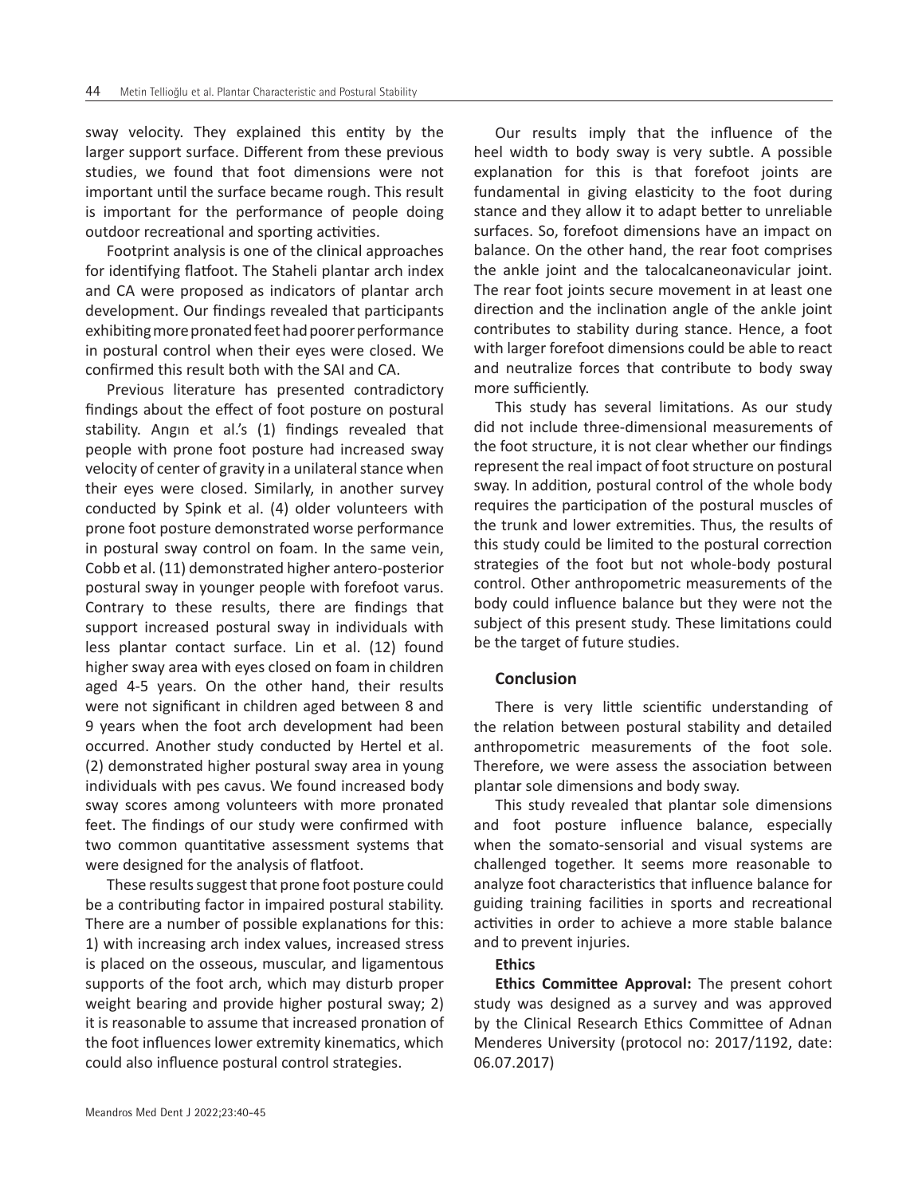sway velocity. They explained this entity by the larger support surface. Different from these previous studies, we found that foot dimensions were not important until the surface became rough. This result is important for the performance of people doing outdoor recreational and sporting activities.

Footprint analysis is one of the clinical approaches for identifying flatfoot. The Staheli plantar arch index and CA were proposed as indicators of plantar arch development. Our findings revealed that participants exhibiting more pronated feet had poorer performance in postural control when their eyes were closed. We confirmed this result both with the SAI and CA.

Previous literature has presented contradictory findings about the effect of foot posture on postural stability. Angın et al.'s (1) findings revealed that people with prone foot posture had increased sway velocity of center of gravity in a unilateral stance when their eyes were closed. Similarly, in another survey conducted by Spink et al. (4) older volunteers with prone foot posture demonstrated worse performance in postural sway control on foam. In the same vein, Cobb et al. (11) demonstrated higher antero-posterior postural sway in younger people with forefoot varus. Contrary to these results, there are findings that support increased postural sway in individuals with less plantar contact surface. Lin et al. (12) found higher sway area with eyes closed on foam in children aged 4-5 years. On the other hand, their results were not significant in children aged between 8 and 9 years when the foot arch development had been occurred. Another study conducted by Hertel et al. (2) demonstrated higher postural sway area in young individuals with pes cavus. We found increased body sway scores among volunteers with more pronated feet. The findings of our study were confirmed with two common quantitative assessment systems that were designed for the analysis of flatfoot.

These results suggest that prone foot posture could be a contributing factor in impaired postural stability. There are a number of possible explanations for this: 1) with increasing arch index values, increased stress is placed on the osseous, muscular, and ligamentous supports of the foot arch, which may disturb proper weight bearing and provide higher postural sway; 2) it is reasonable to assume that increased pronation of the foot influences lower extremity kinematics, which could also influence postural control strategies.

Our results imply that the influence of the heel width to body sway is very subtle. A possible explanation for this is that forefoot joints are fundamental in giving elasticity to the foot during stance and they allow it to adapt better to unreliable surfaces. So, forefoot dimensions have an impact on balance. On the other hand, the rear foot comprises the ankle joint and the talocalcaneonavicular joint. The rear foot joints secure movement in at least one direction and the inclination angle of the ankle joint contributes to stability during stance. Hence, a foot with larger forefoot dimensions could be able to react and neutralize forces that contribute to body sway more sufficiently.

This study has several limitations. As our study did not include three-dimensional measurements of the foot structure, it is not clear whether our findings represent the real impact of foot structure on postural sway. In addition, postural control of the whole body requires the participation of the postural muscles of the trunk and lower extremities. Thus, the results of this study could be limited to the postural correction strategies of the foot but not whole-body postural control. Other anthropometric measurements of the body could influence balance but they were not the subject of this present study. These limitations could be the target of future studies.

# **Conclusion**

There is very little scientific understanding of the relation between postural stability and detailed anthropometric measurements of the foot sole. Therefore, we were assess the association between plantar sole dimensions and body sway.

This study revealed that plantar sole dimensions and foot posture influence balance, especially when the somato-sensorial and visual systems are challenged together. It seems more reasonable to analyze foot characteristics that influence balance for guiding training facilities in sports and recreational activities in order to achieve a more stable balance and to prevent injuries.

# **Ethics**

**Ethics Committee Approval:** The present cohort study was designed as a survey and was approved by the Clinical Research Ethics Committee of Adnan Menderes University (protocol no: 2017/1192, date: 06.07.2017)